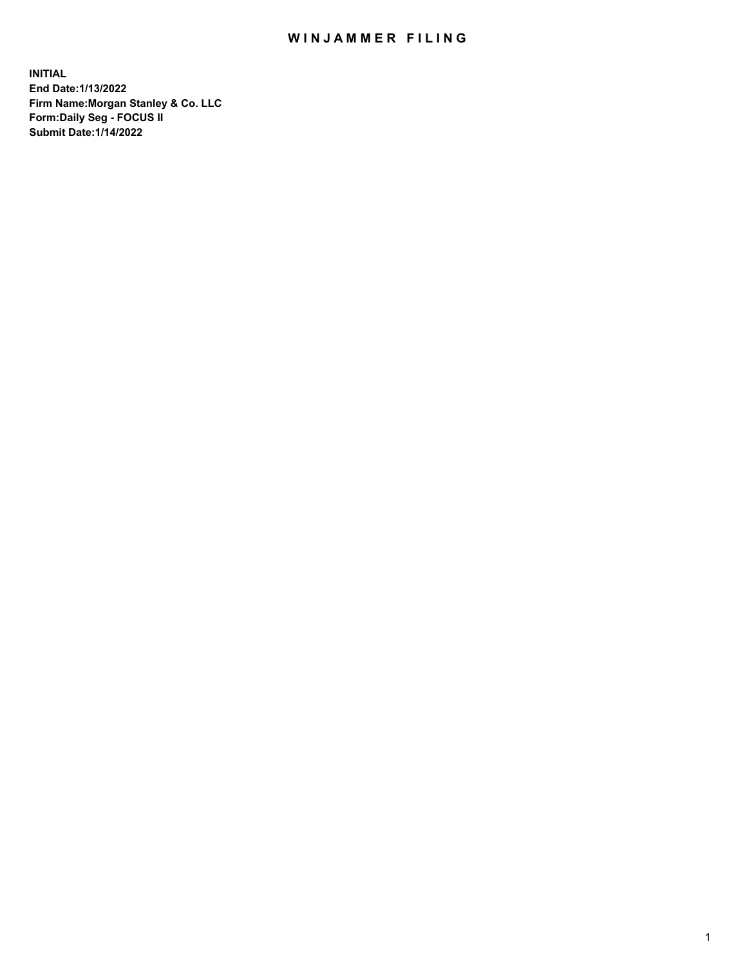## WIN JAMMER FILING

**INITIAL End Date:1/13/2022 Firm Name:Morgan Stanley & Co. LLC Form:Daily Seg - FOCUS II Submit Date:1/14/2022**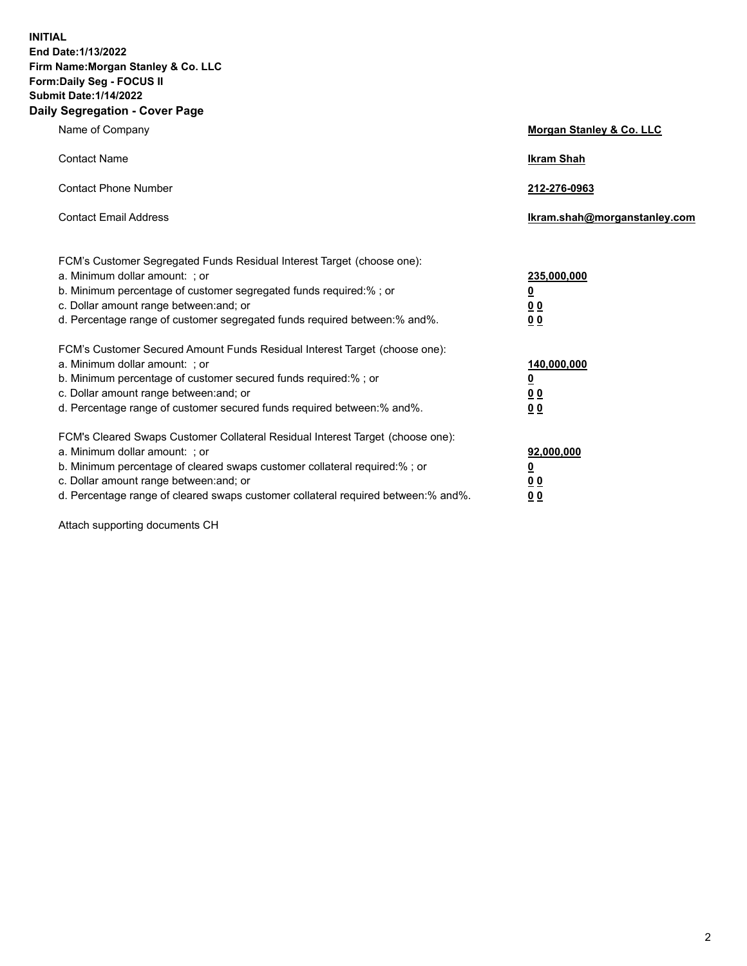**INITIAL End Date:1/13/2022 Firm Name:Morgan Stanley & Co. LLC Form:Daily Seg - FOCUS II Submit Date:1/14/2022 Daily Segregation - Cover Page**

| Name of Company                                                                                                                                                                                                                                                                                                                | Morgan Stanley & Co. LLC                               |
|--------------------------------------------------------------------------------------------------------------------------------------------------------------------------------------------------------------------------------------------------------------------------------------------------------------------------------|--------------------------------------------------------|
| <b>Contact Name</b>                                                                                                                                                                                                                                                                                                            | <b>Ikram Shah</b>                                      |
| <b>Contact Phone Number</b>                                                                                                                                                                                                                                                                                                    | 212-276-0963                                           |
| <b>Contact Email Address</b>                                                                                                                                                                                                                                                                                                   | Ikram.shah@morganstanley.com                           |
| FCM's Customer Segregated Funds Residual Interest Target (choose one):<br>a. Minimum dollar amount: : or<br>b. Minimum percentage of customer segregated funds required:%; or<br>c. Dollar amount range between: and; or<br>d. Percentage range of customer segregated funds required between:% and%.                          | 235,000,000<br><u>0</u><br>0 Q<br><u>00</u>            |
| FCM's Customer Secured Amount Funds Residual Interest Target (choose one):<br>a. Minimum dollar amount: ; or<br>b. Minimum percentage of customer secured funds required:%; or<br>c. Dollar amount range between: and; or<br>d. Percentage range of customer secured funds required between:% and%.                            | 140,000,000<br><u>0</u><br><u>00</u><br>0 <sub>0</sub> |
| FCM's Cleared Swaps Customer Collateral Residual Interest Target (choose one):<br>a. Minimum dollar amount: ; or<br>b. Minimum percentage of cleared swaps customer collateral required:% ; or<br>c. Dollar amount range between: and; or<br>d. Percentage range of cleared swaps customer collateral required between:% and%. | 92,000,000<br><u>0</u><br><u>00</u><br>0 <sub>0</sub>  |

Attach supporting documents CH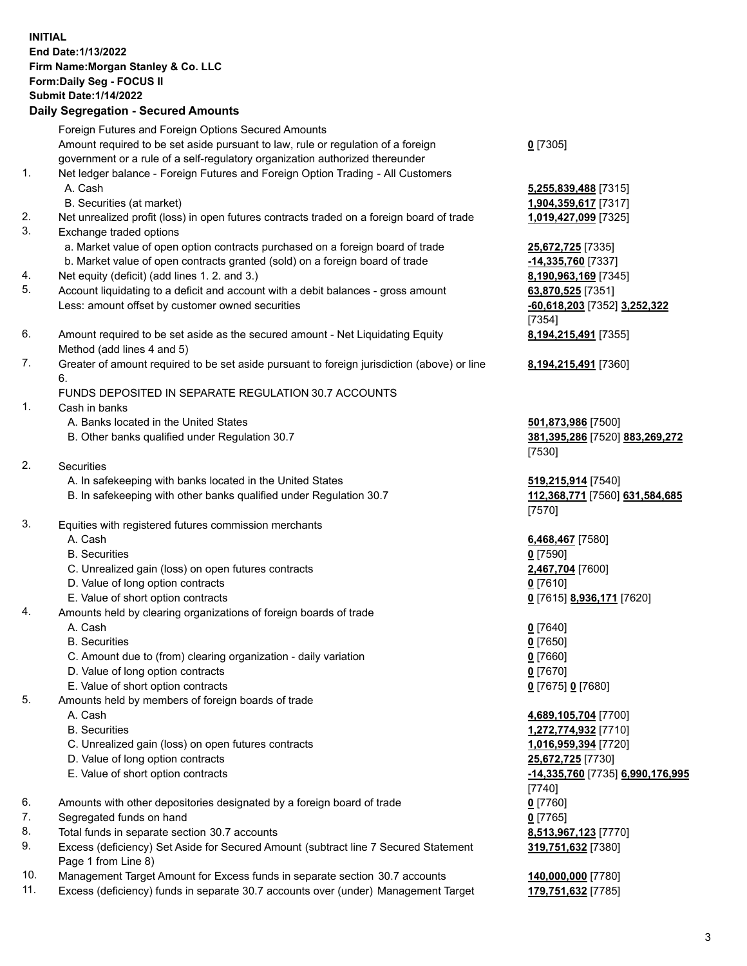## **INITIAL End Date:1/13/2022 Firm Name:Morgan Stanley & Co. LLC Form:Daily Seg - FOCUS II Submit Date:1/14/2022 Daily Segregation - Secured Amounts** Foreign Futures and Foreign Options Secured Amounts

Amount required to be set aside pursuant to law, rule or regulation of a foreign government or a rule of a self-regulatory organization authorized thereunder

- 1. Net ledger balance Foreign Futures and Foreign Option Trading All Customers A. Cash **5,255,839,488** [7315]
	- B. Securities (at market) **1,904,359,617** [7317]
- 2. Net unrealized profit (loss) in open futures contracts traded on a foreign board of trade **1,019,427,099** [7325]
- 3. Exchange traded options
	- a. Market value of open option contracts purchased on a foreign board of trade **25,672,725** [7335]
	- b. Market value of open contracts granted (sold) on a foreign board of trade **-14,335,760** [7337]
- 4. Net equity (deficit) (add lines 1. 2. and 3.) **8,190,963,169** [7345]
- 5. Account liquidating to a deficit and account with a debit balances gross amount **63,870,525** [7351] Less: amount offset by customer owned securities **-60,618,203** [7352] **3,252,322**
- 6. Amount required to be set aside as the secured amount Net Liquidating Equity Method (add lines 4 and 5)
- 7. Greater of amount required to be set aside pursuant to foreign jurisdiction (above) or line 6.

## FUNDS DEPOSITED IN SEPARATE REGULATION 30.7 ACCOUNTS

- 1. Cash in banks
	- A. Banks located in the United States **501,873,986** [7500]
	- B. Other banks qualified under Regulation 30.7 **381,395,286** [7520] **883,269,272**
- 2. Securities
	- A. In safekeeping with banks located in the United States **519,215,914** [7540]
	- B. In safekeeping with other banks qualified under Regulation 30.7 **112,368,771** [7560] **631,584,685**
- 3. Equities with registered futures commission merchants
	-
	- B. Securities **0** [7590]
	- C. Unrealized gain (loss) on open futures contracts **2,467,704** [7600]
	- D. Value of long option contracts **0** [7610]
	- E. Value of short option contracts **0** [7615] **8,936,171** [7620]
- 4. Amounts held by clearing organizations of foreign boards of trade
	-
	- B. Securities **0** [7650]
	- C. Amount due to (from) clearing organization daily variation **0** [7660]
	- D. Value of long option contracts **0** [7670]
	- E. Value of short option contracts **0** [7675] **0** [7680]
- 5. Amounts held by members of foreign boards of trade
	-
	-
	- C. Unrealized gain (loss) on open futures contracts **1,016,959,394** [7720]
	- D. Value of long option contracts **25,672,725** [7730]
	- E. Value of short option contracts **-14,335,760** [7735] **6,990,176,995**
- 6. Amounts with other depositories designated by a foreign board of trade **0** [7760]
- 7. Segregated funds on hand **0** [7765]
- 8. Total funds in separate section 30.7 accounts **8,513,967,123** [7770]
- 9. Excess (deficiency) Set Aside for Secured Amount (subtract line 7 Secured Statement Page 1 from Line 8)
- 10. Management Target Amount for Excess funds in separate section 30.7 accounts **140,000,000** [7780]
- 11. Excess (deficiency) funds in separate 30.7 accounts over (under) Management Target **179,751,632** [7785]

| . – |  |
|-----|--|
|-----|--|

[7354] **8,194,215,491** [7355]

**8,194,215,491** [7360]

[7530]

[7570]

A. Cash **6,468,467** [7580]

A. Cash **0** [7640]

 A. Cash **4,689,105,704** [7700] B. Securities **1,272,774,932** [7710] [7740] **319,751,632** [7380]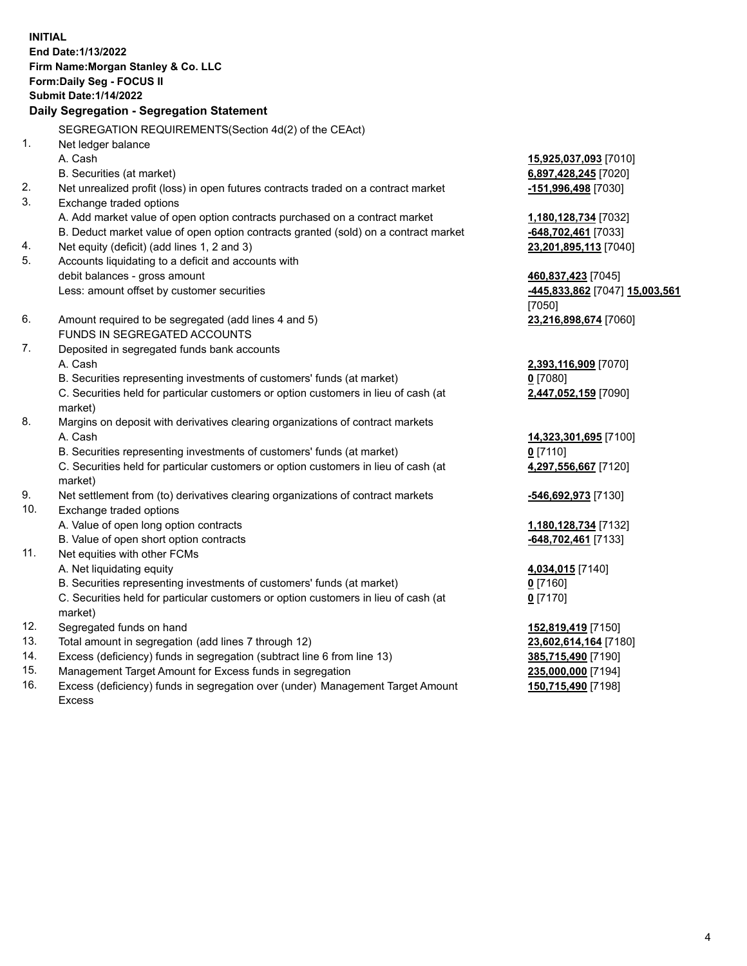**INITIAL End Date:1/13/2022 Firm Name:Morgan Stanley & Co. LLC Form:Daily Seg - FOCUS II Submit Date:1/14/2022 Daily Segregation - Segregation Statement** SEGREGATION REQUIREMENTS(Section 4d(2) of the CEAct) 1. Net ledger balance A. Cash **15,925,037,093** [7010] B. Securities (at market) **6,897,428,245** [7020] 2. Net unrealized profit (loss) in open futures contracts traded on a contract market **-151,996,498** [7030] 3. Exchange traded options A. Add market value of open option contracts purchased on a contract market **1,180,128,734** [7032] B. Deduct market value of open option contracts granted (sold) on a contract market **-648,702,461** [7033] 4. Net equity (deficit) (add lines 1, 2 and 3) **23,201,895,113** [7040] 5. Accounts liquidating to a deficit and accounts with debit balances - gross amount **460,837,423** [7045] Less: amount offset by customer securities **-445,833,862** [7047] **15,003,561** [7050] 6. Amount required to be segregated (add lines 4 and 5) **23,216,898,674** [7060] FUNDS IN SEGREGATED ACCOUNTS 7. Deposited in segregated funds bank accounts A. Cash **2,393,116,909** [7070] B. Securities representing investments of customers' funds (at market) **0** [7080] C. Securities held for particular customers or option customers in lieu of cash (at market) **2,447,052,159** [7090] 8. Margins on deposit with derivatives clearing organizations of contract markets A. Cash **14,323,301,695** [7100] B. Securities representing investments of customers' funds (at market) **0** [7110] C. Securities held for particular customers or option customers in lieu of cash (at market) **4,297,556,667** [7120] 9. Net settlement from (to) derivatives clearing organizations of contract markets **-546,692,973** [7130] 10. Exchange traded options A. Value of open long option contracts **1,180,128,734** [7132] B. Value of open short option contracts **-648,702,461** [7133] 11. Net equities with other FCMs A. Net liquidating equity **4,034,015** [7140] B. Securities representing investments of customers' funds (at market) **0** [7160] C. Securities held for particular customers or option customers in lieu of cash (at market) **0** [7170] 12. Segregated funds on hand **152,819,419** [7150] 13. Total amount in segregation (add lines 7 through 12) **23,602,614,164** [7180] 14. Excess (deficiency) funds in segregation (subtract line 6 from line 13) **385,715,490** [7190]

- 15. Management Target Amount for Excess funds in segregation **235,000,000** [7194]
- 16. Excess (deficiency) funds in segregation over (under) Management Target Amount Excess